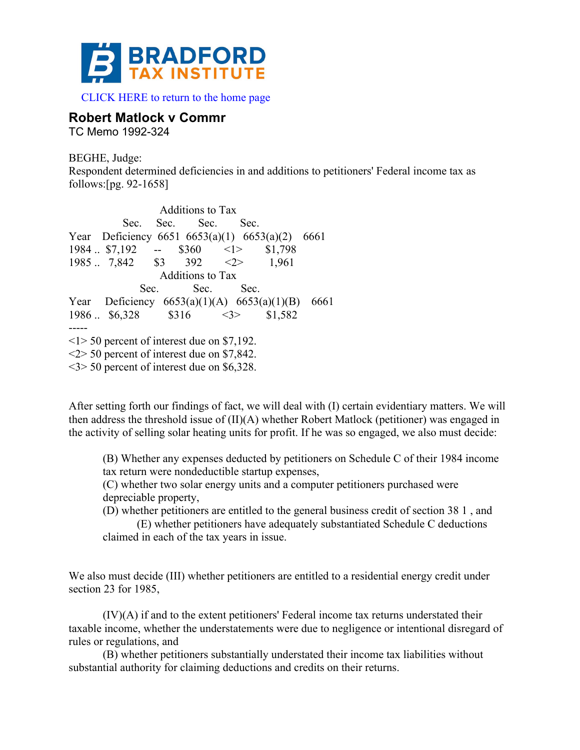

 [CLICK HERE to return to the home page](www.bradfordtaxinstitute.com) 

# **Robert Matlock v Commr**

TC Memo 1992-324

BEGHE, Judge: Respondent determined deficiencies in and additions to petitioners' Federal income tax as follows:[pg. 92-1658]

Additions to Tax Sec. Sec. Sec. Sec. Year Deficiency 6651 6653(a)(1) 6653(a)(2) 6661  $1984$  .. \$7,192 -- \$360 <1> \$1,798 1985 .. 7,842 \$3 392 <2> 1,961 Additions to Tax Sec. Sec. Sec. Year Deficiency 6653(a)(1)(A) 6653(a)(1)(B) 6661  $1986$  ..  $$6,328$   $$316$   $\leq$   $\geq$   $$1,582$ -----  $\leq$ 1> 50 percent of interest due on \$7,192. <2> 50 percent of interest due on \$7,842. <3> 50 percent of interest due on \$6,328.

After setting forth our findings of fact, we will deal with (I) certain evidentiary matters. We will then address the threshold issue of (II)(A) whether Robert Matlock (petitioner) was engaged in the activity of selling solar heating units for profit. If he was so engaged, we also must decide:

(B) Whether any expenses deducted by petitioners on Schedule C of their 1984 income tax return were nondeductible startup expenses,

(C) whether two solar energy units and a computer petitioners purchased were depreciable property,

(D) whether petitioners are entitled to the general business credit of section 38 1 , and

(E) whether petitioners have adequately substantiated Schedule C deductions claimed in each of the tax years in issue.

We also must decide *(III)* whether petitioners are entitled to a residential energy credit under section 23 for 1985,

(IV)(A) if and to the extent petitioners' Federal income tax returns understated their taxable income, whether the understatements were due to negligence or intentional disregard of rules or regulations, and

(B) whether petitioners substantially understated their income tax liabilities without substantial authority for claiming deductions and credits on their returns.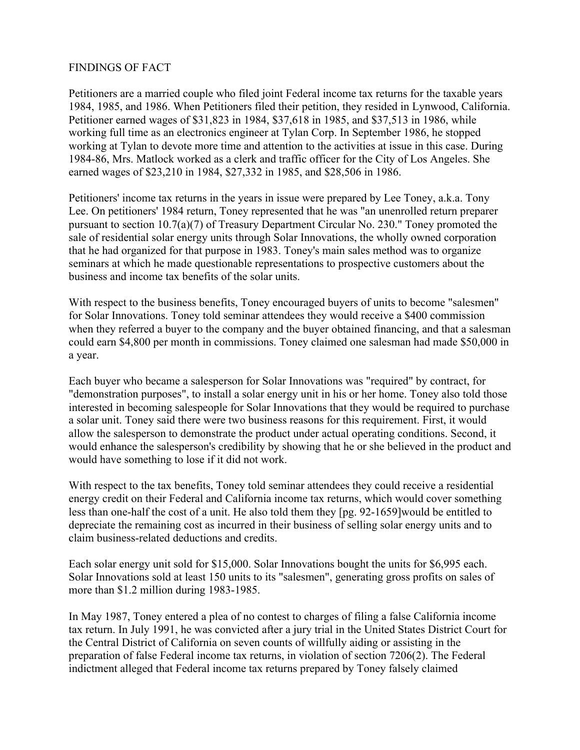#### FINDINGS OF FACT

Petitioners are a married couple who filed joint Federal income tax returns for the taxable years 1984, 1985, and 1986. When Petitioners filed their petition, they resided in Lynwood, California. Petitioner earned wages of \$31,823 in 1984, \$37,618 in 1985, and \$37,513 in 1986, while working full time as an electronics engineer at Tylan Corp. In September 1986, he stopped working at Tylan to devote more time and attention to the activities at issue in this case. During 1984-86, Mrs. Matlock worked as a clerk and traffic officer for the City of Los Angeles. She earned wages of \$23,210 in 1984, \$27,332 in 1985, and \$28,506 in 1986.

Petitioners' income tax returns in the years in issue were prepared by Lee Toney, a.k.a. Tony Lee. On petitioners' 1984 return, Toney represented that he was "an unenrolled return preparer pursuant to section 10.7(a)(7) of Treasury Department Circular No. 230." Toney promoted the sale of residential solar energy units through Solar Innovations, the wholly owned corporation that he had organized for that purpose in 1983. Toney's main sales method was to organize seminars at which he made questionable representations to prospective customers about the business and income tax benefits of the solar units.

With respect to the business benefits, Toney encouraged buyers of units to become "salesmen" for Solar Innovations. Toney told seminar attendees they would receive a \$400 commission when they referred a buyer to the company and the buyer obtained financing, and that a salesman could earn \$4,800 per month in commissions. Toney claimed one salesman had made \$50,000 in a year.

Each buyer who became a salesperson for Solar Innovations was "required" by contract, for "demonstration purposes", to install a solar energy unit in his or her home. Toney also told those interested in becoming salespeople for Solar Innovations that they would be required to purchase a solar unit. Toney said there were two business reasons for this requirement. First, it would allow the salesperson to demonstrate the product under actual operating conditions. Second, it would enhance the salesperson's credibility by showing that he or she believed in the product and would have something to lose if it did not work.

With respect to the tax benefits, Toney told seminar attendees they could receive a residential energy credit on their Federal and California income tax returns, which would cover something less than one-half the cost of a unit. He also told them they [pg. 92-1659]would be entitled to depreciate the remaining cost as incurred in their business of selling solar energy units and to claim business-related deductions and credits.

Each solar energy unit sold for \$15,000. Solar Innovations bought the units for \$6,995 each. Solar Innovations sold at least 150 units to its "salesmen", generating gross profits on sales of more than \$1.2 million during 1983-1985.

In May 1987, Toney entered a plea of no contest to charges of filing a false California income tax return. In July 1991, he was convicted after a jury trial in the United States District Court for the Central District of California on seven counts of willfully aiding or assisting in the preparation of false Federal income tax returns, in violation of section 7206(2). The Federal indictment alleged that Federal income tax returns prepared by Toney falsely claimed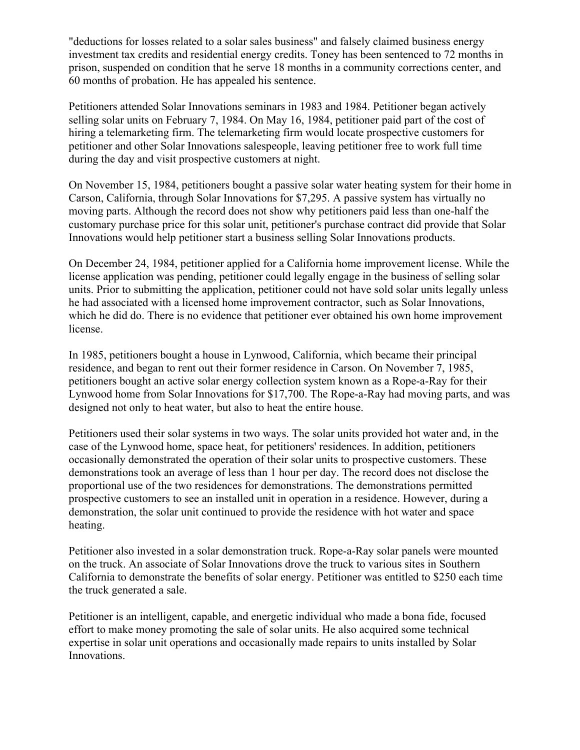"deductions for losses related to a solar sales business" and falsely claimed business energy investment tax credits and residential energy credits. Toney has been sentenced to 72 months in prison, suspended on condition that he serve 18 months in a community corrections center, and 60 months of probation. He has appealed his sentence.

Petitioners attended Solar Innovations seminars in 1983 and 1984. Petitioner began actively selling solar units on February 7, 1984. On May 16, 1984, petitioner paid part of the cost of hiring a telemarketing firm. The telemarketing firm would locate prospective customers for petitioner and other Solar Innovations salespeople, leaving petitioner free to work full time during the day and visit prospective customers at night.

On November 15, 1984, petitioners bought a passive solar water heating system for their home in Carson, California, through Solar Innovations for \$7,295. A passive system has virtually no moving parts. Although the record does not show why petitioners paid less than one-half the customary purchase price for this solar unit, petitioner's purchase contract did provide that Solar Innovations would help petitioner start a business selling Solar Innovations products.

On December 24, 1984, petitioner applied for a California home improvement license. While the license application was pending, petitioner could legally engage in the business of selling solar units. Prior to submitting the application, petitioner could not have sold solar units legally unless he had associated with a licensed home improvement contractor, such as Solar Innovations, which he did do. There is no evidence that petitioner ever obtained his own home improvement license.

In 1985, petitioners bought a house in Lynwood, California, which became their principal residence, and began to rent out their former residence in Carson. On November 7, 1985, petitioners bought an active solar energy collection system known as a Rope-a-Ray for their Lynwood home from Solar Innovations for \$17,700. The Rope-a-Ray had moving parts, and was designed not only to heat water, but also to heat the entire house.

Petitioners used their solar systems in two ways. The solar units provided hot water and, in the case of the Lynwood home, space heat, for petitioners' residences. In addition, petitioners occasionally demonstrated the operation of their solar units to prospective customers. These demonstrations took an average of less than 1 hour per day. The record does not disclose the proportional use of the two residences for demonstrations. The demonstrations permitted prospective customers to see an installed unit in operation in a residence. However, during a demonstration, the solar unit continued to provide the residence with hot water and space heating.

Petitioner also invested in a solar demonstration truck. Rope-a-Ray solar panels were mounted on the truck. An associate of Solar Innovations drove the truck to various sites in Southern California to demonstrate the benefits of solar energy. Petitioner was entitled to \$250 each time the truck generated a sale.

Petitioner is an intelligent, capable, and energetic individual who made a bona fide, focused effort to make money promoting the sale of solar units. He also acquired some technical expertise in solar unit operations and occasionally made repairs to units installed by Solar Innovations.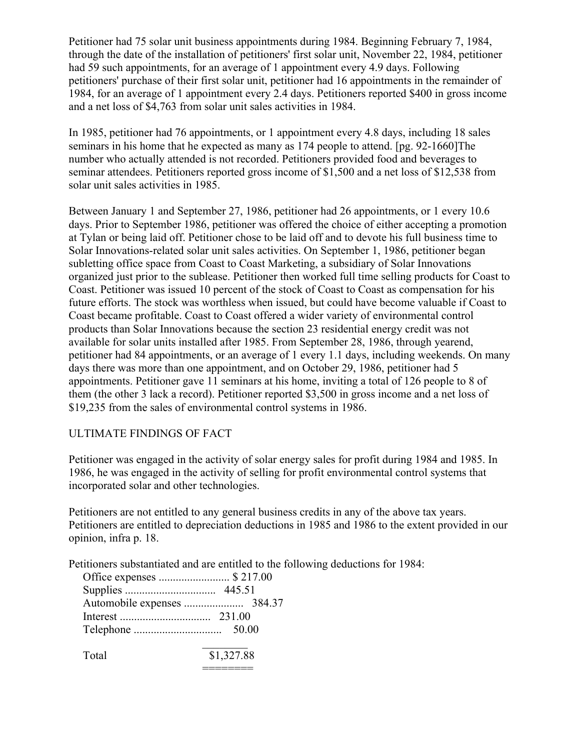Petitioner had 75 solar unit business appointments during 1984. Beginning February 7, 1984, through the date of the installation of petitioners' first solar unit, November 22, 1984, petitioner had 59 such appointments, for an average of 1 appointment every 4.9 days. Following petitioners' purchase of their first solar unit, petitioner had 16 appointments in the remainder of 1984, for an average of 1 appointment every 2.4 days. Petitioners reported \$400 in gross income and a net loss of \$4,763 from solar unit sales activities in 1984.

In 1985, petitioner had 76 appointments, or 1 appointment every 4.8 days, including 18 sales seminars in his home that he expected as many as 174 people to attend. [pg. 92-1660]The number who actually attended is not recorded. Petitioners provided food and beverages to seminar attendees. Petitioners reported gross income of \$1,500 and a net loss of \$12,538 from solar unit sales activities in 1985.

Between January 1 and September 27, 1986, petitioner had 26 appointments, or 1 every 10.6 days. Prior to September 1986, petitioner was offered the choice of either accepting a promotion at Tylan or being laid off. Petitioner chose to be laid off and to devote his full business time to Solar Innovations-related solar unit sales activities. On September 1, 1986, petitioner began subletting office space from Coast to Coast Marketing, a subsidiary of Solar Innovations organized just prior to the sublease. Petitioner then worked full time selling products for Coast to Coast. Petitioner was issued 10 percent of the stock of Coast to Coast as compensation for his future efforts. The stock was worthless when issued, but could have become valuable if Coast to Coast became profitable. Coast to Coast offered a wider variety of environmental control products than Solar Innovations because the section 23 residential energy credit was not available for solar units installed after 1985. From September 28, 1986, through yearend, petitioner had 84 appointments, or an average of 1 every 1.1 days, including weekends. On many days there was more than one appointment, and on October 29, 1986, petitioner had 5 appointments. Petitioner gave 11 seminars at his home, inviting a total of 126 people to 8 of them (the other 3 lack a record). Petitioner reported \$3,500 in gross income and a net loss of \$19,235 from the sales of environmental control systems in 1986.

# ULTIMATE FINDINGS OF FACT

Petitioner was engaged in the activity of solar energy sales for profit during 1984 and 1985. In 1986, he was engaged in the activity of selling for profit environmental control systems that incorporated solar and other technologies.

Petitioners are not entitled to any general business credits in any of the above tax years. Petitioners are entitled to depreciation deductions in 1985 and 1986 to the extent provided in our opinion, infra p. 18.

Petitioners substantiated and are entitled to the following deductions for 1984:

|       | 50.00      |
|-------|------------|
|       |            |
| Total | \$1,327.88 |

========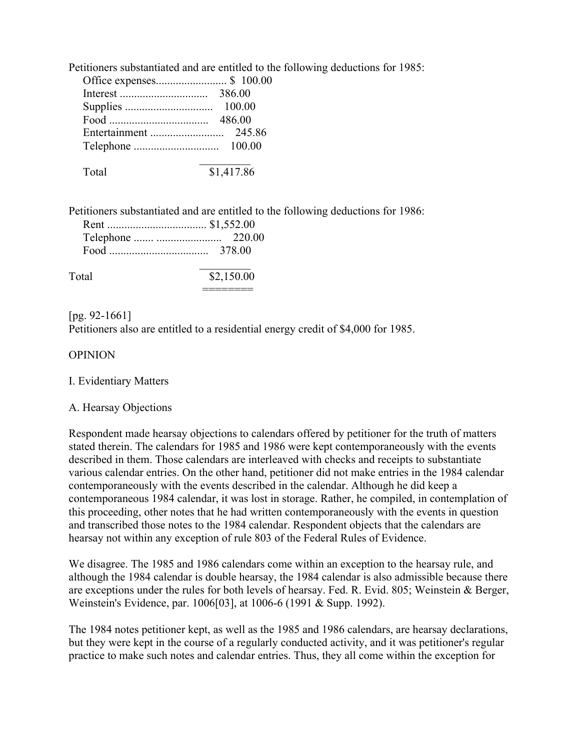Petitioners substantiated and are entitled to the following deductions for 1985:

| 386.00 |
|--------|
| 100.00 |
| 486.00 |
| 245.86 |
| 100.00 |

Petitioners substantiated and are entitled to the following deductions for 1986:

|       | Food $\ldots$ 378.00 |
|-------|----------------------|
| Total | \$2,150.00           |

========

[pg. 92-1661] Petitioners also are entitled to a residential energy credit of \$4,000 for 1985.

# OPINION

#### I. Evidentiary Matters

# A. Hearsay Objections

Respondent made hearsay objections to calendars offered by petitioner for the truth of matters stated therein. The calendars for 1985 and 1986 were kept contemporaneously with the events described in them. Those calendars are interleaved with checks and receipts to substantiate various calendar entries. On the other hand, petitioner did not make entries in the 1984 calendar contemporaneously with the events described in the calendar. Although he did keep a contemporaneous 1984 calendar, it was lost in storage. Rather, he compiled, in contemplation of this proceeding, other notes that he had written contemporaneously with the events in question and transcribed those notes to the 1984 calendar. Respondent objects that the calendars are hearsay not within any exception of rule 803 of the Federal Rules of Evidence.

We disagree. The 1985 and 1986 calendars come within an exception to the hearsay rule, and although the 1984 calendar is double hearsay, the 1984 calendar is also admissible because there are exceptions under the rules for both levels of hearsay. Fed. R. Evid. 805; Weinstein & Berger, Weinstein's Evidence, par. 1006[03], at 1006-6 (1991 & Supp. 1992).

The 1984 notes petitioner kept, as well as the 1985 and 1986 calendars, are hearsay declarations, but they were kept in the course of a regularly conducted activity, and it was petitioner's regular practice to make such notes and calendar entries. Thus, they all come within the exception for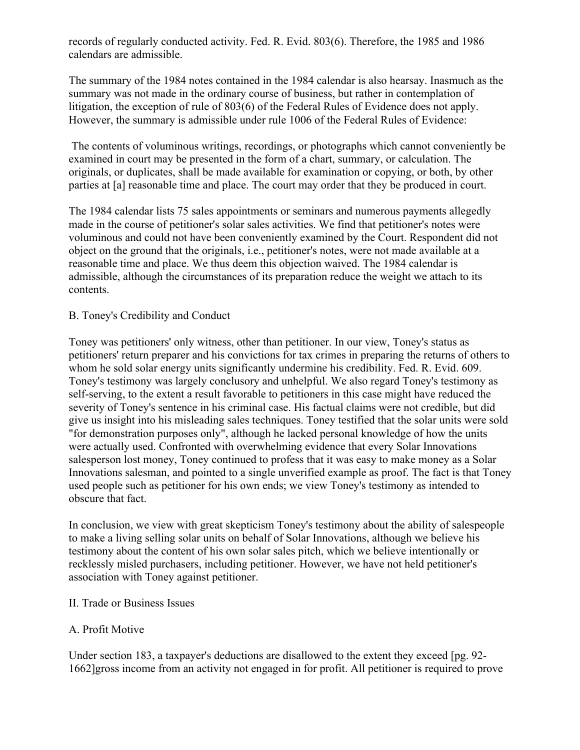records of regularly conducted activity. Fed. R. Evid. 803(6). Therefore, the 1985 and 1986 calendars are admissible.

The summary of the 1984 notes contained in the 1984 calendar is also hearsay. Inasmuch as the summary was not made in the ordinary course of business, but rather in contemplation of litigation, the exception of rule of 803(6) of the Federal Rules of Evidence does not apply. However, the summary is admissible under rule 1006 of the Federal Rules of Evidence:

The contents of voluminous writings, recordings, or photographs which cannot conveniently be examined in court may be presented in the form of a chart, summary, or calculation. The originals, or duplicates, shall be made available for examination or copying, or both, by other parties at [a] reasonable time and place. The court may order that they be produced in court.

The 1984 calendar lists 75 sales appointments or seminars and numerous payments allegedly made in the course of petitioner's solar sales activities. We find that petitioner's notes were voluminous and could not have been conveniently examined by the Court. Respondent did not object on the ground that the originals, i.e., petitioner's notes, were not made available at a reasonable time and place. We thus deem this objection waived. The 1984 calendar is admissible, although the circumstances of its preparation reduce the weight we attach to its contents.

# B. Toney's Credibility and Conduct

Toney was petitioners' only witness, other than petitioner. In our view, Toney's status as petitioners' return preparer and his convictions for tax crimes in preparing the returns of others to whom he sold solar energy units significantly undermine his credibility. Fed. R. Evid. 609. Toney's testimony was largely conclusory and unhelpful. We also regard Toney's testimony as self-serving, to the extent a result favorable to petitioners in this case might have reduced the severity of Toney's sentence in his criminal case. His factual claims were not credible, but did give us insight into his misleading sales techniques. Toney testified that the solar units were sold "for demonstration purposes only", although he lacked personal knowledge of how the units were actually used. Confronted with overwhelming evidence that every Solar Innovations salesperson lost money, Toney continued to profess that it was easy to make money as a Solar Innovations salesman, and pointed to a single unverified example as proof. The fact is that Toney used people such as petitioner for his own ends; we view Toney's testimony as intended to obscure that fact.

In conclusion, we view with great skepticism Toney's testimony about the ability of salespeople to make a living selling solar units on behalf of Solar Innovations, although we believe his testimony about the content of his own solar sales pitch, which we believe intentionally or recklessly misled purchasers, including petitioner. However, we have not held petitioner's association with Toney against petitioner.

#### II. Trade or Business Issues

# A. Profit Motive

Under section 183, a taxpayer's deductions are disallowed to the extent they exceed [pg. 92- 1662]gross income from an activity not engaged in for profit. All petitioner is required to prove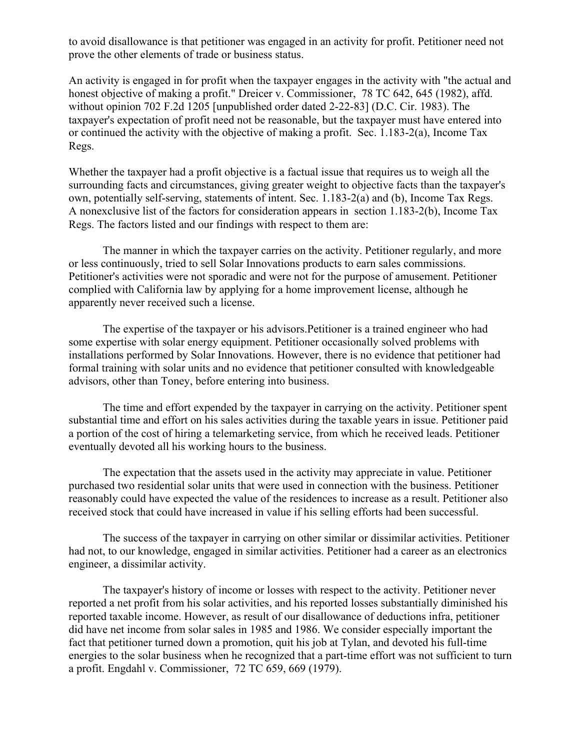to avoid disallowance is that petitioner was engaged in an activity for profit. Petitioner need not prove the other elements of trade or business status.

An activity is engaged in for profit when the taxpayer engages in the activity with "the actual and honest objective of making a profit." Dreicer v. Commissioner, 78 TC 642, 645 (1982), affd. without opinion 702 F.2d 1205 [unpublished order dated 2-22-83] (D.C. Cir. 1983). The taxpayer's expectation of profit need not be reasonable, but the taxpayer must have entered into or continued the activity with the objective of making a profit. Sec. 1.183-2(a), Income Tax Regs.

Whether the taxpayer had a profit objective is a factual issue that requires us to weigh all the surrounding facts and circumstances, giving greater weight to objective facts than the taxpayer's own, potentially self-serving, statements of intent. Sec. 1.183-2(a) and (b), Income Tax Regs. A nonexclusive list of the factors for consideration appears in section 1.183-2(b), Income Tax Regs. The factors listed and our findings with respect to them are:

The manner in which the taxpayer carries on the activity. Petitioner regularly, and more or less continuously, tried to sell Solar Innovations products to earn sales commissions. Petitioner's activities were not sporadic and were not for the purpose of amusement. Petitioner complied with California law by applying for a home improvement license, although he apparently never received such a license.

The expertise of the taxpayer or his advisors.Petitioner is a trained engineer who had some expertise with solar energy equipment. Petitioner occasionally solved problems with installations performed by Solar Innovations. However, there is no evidence that petitioner had formal training with solar units and no evidence that petitioner consulted with knowledgeable advisors, other than Toney, before entering into business.

The time and effort expended by the taxpayer in carrying on the activity. Petitioner spent substantial time and effort on his sales activities during the taxable years in issue. Petitioner paid a portion of the cost of hiring a telemarketing service, from which he received leads. Petitioner eventually devoted all his working hours to the business.

The expectation that the assets used in the activity may appreciate in value. Petitioner purchased two residential solar units that were used in connection with the business. Petitioner reasonably could have expected the value of the residences to increase as a result. Petitioner also received stock that could have increased in value if his selling efforts had been successful.

The success of the taxpayer in carrying on other similar or dissimilar activities. Petitioner had not, to our knowledge, engaged in similar activities. Petitioner had a career as an electronics engineer, a dissimilar activity.

The taxpayer's history of income or losses with respect to the activity. Petitioner never reported a net profit from his solar activities, and his reported losses substantially diminished his reported taxable income. However, as result of our disallowance of deductions infra, petitioner did have net income from solar sales in 1985 and 1986. We consider especially important the fact that petitioner turned down a promotion, quit his job at Tylan, and devoted his full-time energies to the solar business when he recognized that a part-time effort was not sufficient to turn a profit. Engdahl v. Commissioner, 72 TC 659, 669 (1979).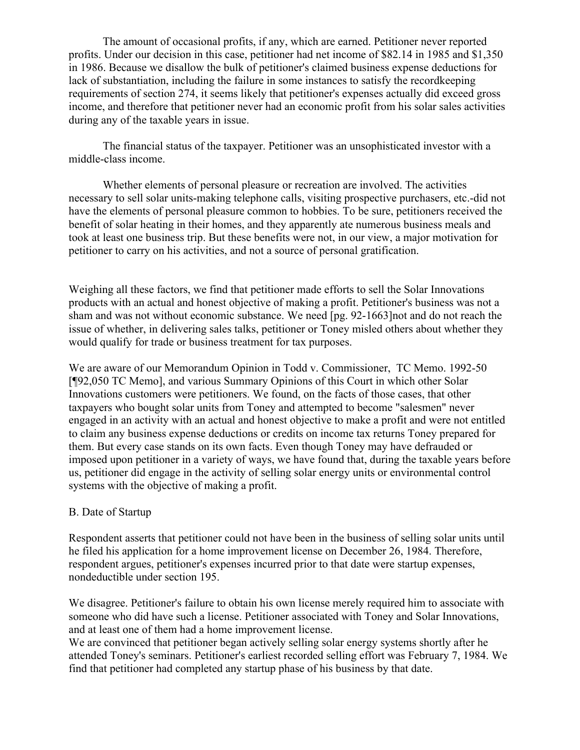The amount of occasional profits, if any, which are earned. Petitioner never reported profits. Under our decision in this case, petitioner had net income of \$82.14 in 1985 and \$1,350 in 1986. Because we disallow the bulk of petitioner's claimed business expense deductions for lack of substantiation, including the failure in some instances to satisfy the recordkeeping requirements of section 274, it seems likely that petitioner's expenses actually did exceed gross income, and therefore that petitioner never had an economic profit from his solar sales activities during any of the taxable years in issue.

The financial status of the taxpayer. Petitioner was an unsophisticated investor with a middle-class income.

Whether elements of personal pleasure or recreation are involved. The activities necessary to sell solar units-making telephone calls, visiting prospective purchasers, etc.-did not have the elements of personal pleasure common to hobbies. To be sure, petitioners received the benefit of solar heating in their homes, and they apparently ate numerous business meals and took at least one business trip. But these benefits were not, in our view, a major motivation for petitioner to carry on his activities, and not a source of personal gratification.

Weighing all these factors, we find that petitioner made efforts to sell the Solar Innovations products with an actual and honest objective of making a profit. Petitioner's business was not a sham and was not without economic substance. We need [pg. 92-1663]not and do not reach the issue of whether, in delivering sales talks, petitioner or Toney misled others about whether they would qualify for trade or business treatment for tax purposes.

We are aware of our Memorandum Opinion in Todd v. Commissioner, TC Memo. 1992-50 [¶92,050 TC Memo], and various Summary Opinions of this Court in which other Solar Innovations customers were petitioners. We found, on the facts of those cases, that other taxpayers who bought solar units from Toney and attempted to become "salesmen" never engaged in an activity with an actual and honest objective to make a profit and were not entitled to claim any business expense deductions or credits on income tax returns Toney prepared for them. But every case stands on its own facts. Even though Toney may have defrauded or imposed upon petitioner in a variety of ways, we have found that, during the taxable years before us, petitioner did engage in the activity of selling solar energy units or environmental control systems with the objective of making a profit.

#### B. Date of Startup

Respondent asserts that petitioner could not have been in the business of selling solar units until he filed his application for a home improvement license on December 26, 1984. Therefore, respondent argues, petitioner's expenses incurred prior to that date were startup expenses, nondeductible under section 195.

We disagree. Petitioner's failure to obtain his own license merely required him to associate with someone who did have such a license. Petitioner associated with Toney and Solar Innovations, and at least one of them had a home improvement license.

We are convinced that petitioner began actively selling solar energy systems shortly after he attended Toney's seminars. Petitioner's earliest recorded selling effort was February 7, 1984. We find that petitioner had completed any startup phase of his business by that date.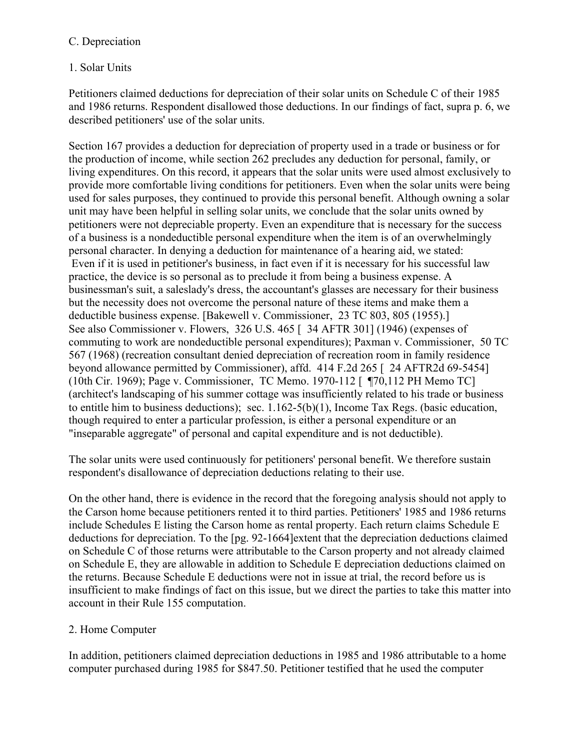# C. Depreciation

# 1. Solar Units

Petitioners claimed deductions for depreciation of their solar units on Schedule C of their 1985 and 1986 returns. Respondent disallowed those deductions. In our findings of fact, supra p. 6, we described petitioners' use of the solar units.

Section 167 provides a deduction for depreciation of property used in a trade or business or for the production of income, while section 262 precludes any deduction for personal, family, or living expenditures. On this record, it appears that the solar units were used almost exclusively to provide more comfortable living conditions for petitioners. Even when the solar units were being used for sales purposes, they continued to provide this personal benefit. Although owning a solar unit may have been helpful in selling solar units, we conclude that the solar units owned by petitioners were not depreciable property. Even an expenditure that is necessary for the success of a business is a nondeductible personal expenditure when the item is of an overwhelmingly personal character. In denying a deduction for maintenance of a hearing aid, we stated: Even if it is used in petitioner's business, in fact even if it is necessary for his successful law practice, the device is so personal as to preclude it from being a business expense. A businessman's suit, a saleslady's dress, the accountant's glasses are necessary for their business but the necessity does not overcome the personal nature of these items and make them a deductible business expense. [Bakewell v. Commissioner, 23 TC 803, 805 (1955).] See also Commissioner v. Flowers, 326 U.S. 465 [ 34 AFTR 301] (1946) (expenses of commuting to work are nondeductible personal expenditures); Paxman v. Commissioner, 50 TC 567 (1968) (recreation consultant denied depreciation of recreation room in family residence beyond allowance permitted by Commissioner), affd. 414 F.2d 265 [ 24 AFTR2d 69-5454] (10th Cir. 1969); Page v. Commissioner, TC Memo. 1970-112 [ ¶70,112 PH Memo TC] (architect's landscaping of his summer cottage was insufficiently related to his trade or business to entitle him to business deductions); sec. 1.162-5(b)(1), Income Tax Regs. (basic education, though required to enter a particular profession, is either a personal expenditure or an "inseparable aggregate" of personal and capital expenditure and is not deductible).

The solar units were used continuously for petitioners' personal benefit. We therefore sustain respondent's disallowance of depreciation deductions relating to their use.

On the other hand, there is evidence in the record that the foregoing analysis should not apply to the Carson home because petitioners rented it to third parties. Petitioners' 1985 and 1986 returns include Schedules E listing the Carson home as rental property. Each return claims Schedule E deductions for depreciation. To the [pg. 92-1664]extent that the depreciation deductions claimed on Schedule C of those returns were attributable to the Carson property and not already claimed on Schedule E, they are allowable in addition to Schedule E depreciation deductions claimed on the returns. Because Schedule E deductions were not in issue at trial, the record before us is insufficient to make findings of fact on this issue, but we direct the parties to take this matter into account in their Rule 155 computation.

# 2. Home Computer

In addition, petitioners claimed depreciation deductions in 1985 and 1986 attributable to a home computer purchased during 1985 for \$847.50. Petitioner testified that he used the computer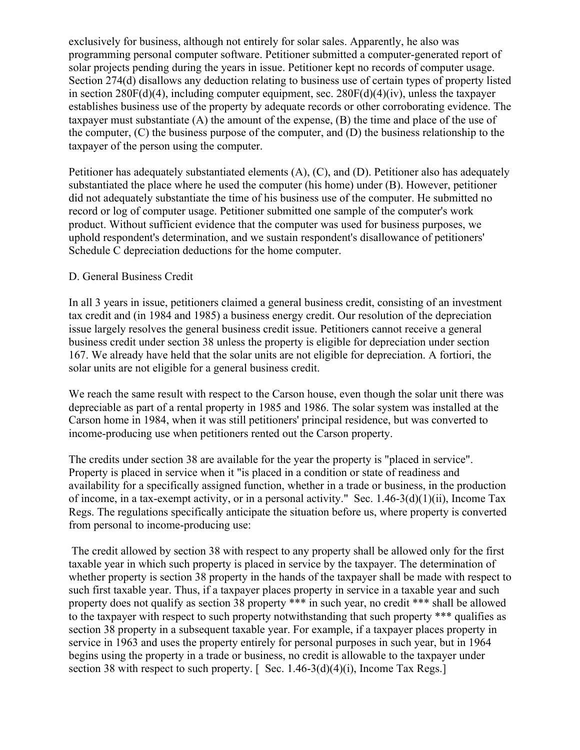exclusively for business, although not entirely for solar sales. Apparently, he also was programming personal computer software. Petitioner submitted a computer-generated report of solar projects pending during the years in issue. Petitioner kept no records of computer usage. Section 274(d) disallows any deduction relating to business use of certain types of property listed in section  $280F(d)(4)$ , including computer equipment, sec.  $280F(d)(4)(iv)$ , unless the taxpayer establishes business use of the property by adequate records or other corroborating evidence. The taxpayer must substantiate (A) the amount of the expense, (B) the time and place of the use of the computer, (C) the business purpose of the computer, and (D) the business relationship to the taxpayer of the person using the computer.

Petitioner has adequately substantiated elements (A), (C), and (D). Petitioner also has adequately substantiated the place where he used the computer (his home) under (B). However, petitioner did not adequately substantiate the time of his business use of the computer. He submitted no record or log of computer usage. Petitioner submitted one sample of the computer's work product. Without sufficient evidence that the computer was used for business purposes, we uphold respondent's determination, and we sustain respondent's disallowance of petitioners' Schedule C depreciation deductions for the home computer.

#### D. General Business Credit

In all 3 years in issue, petitioners claimed a general business credit, consisting of an investment tax credit and (in 1984 and 1985) a business energy credit. Our resolution of the depreciation issue largely resolves the general business credit issue. Petitioners cannot receive a general business credit under section 38 unless the property is eligible for depreciation under section 167. We already have held that the solar units are not eligible for depreciation. A fortiori, the solar units are not eligible for a general business credit.

We reach the same result with respect to the Carson house, even though the solar unit there was depreciable as part of a rental property in 1985 and 1986. The solar system was installed at the Carson home in 1984, when it was still petitioners' principal residence, but was converted to income-producing use when petitioners rented out the Carson property.

The credits under section 38 are available for the year the property is "placed in service". Property is placed in service when it "is placed in a condition or state of readiness and availability for a specifically assigned function, whether in a trade or business, in the production of income, in a tax-exempt activity, or in a personal activity." Sec. 1.46-3(d)(1)(ii), Income Tax Regs. The regulations specifically anticipate the situation before us, where property is converted from personal to income-producing use:

The credit allowed by section 38 with respect to any property shall be allowed only for the first taxable year in which such property is placed in service by the taxpayer. The determination of whether property is section 38 property in the hands of the taxpayer shall be made with respect to such first taxable year. Thus, if a taxpayer places property in service in a taxable year and such property does not qualify as section 38 property \*\*\* in such year, no credit \*\*\* shall be allowed to the taxpayer with respect to such property notwithstanding that such property \*\*\* qualifies as section 38 property in a subsequent taxable year. For example, if a taxpayer places property in service in 1963 and uses the property entirely for personal purposes in such year, but in 1964 begins using the property in a trade or business, no credit is allowable to the taxpayer under section 38 with respect to such property.  $\lceil \text{Sec. 1.46-3(d)(4)(i)} \rceil$ , Income Tax Regs.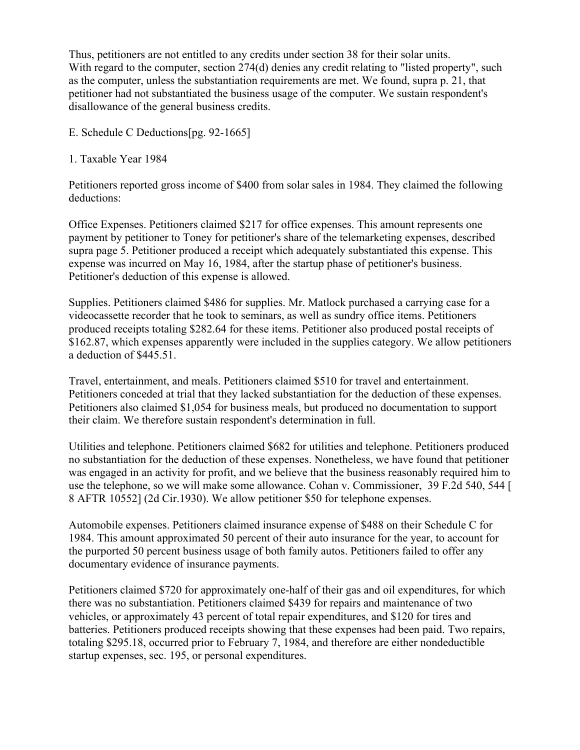Thus, petitioners are not entitled to any credits under section 38 for their solar units. With regard to the computer, section 274(d) denies any credit relating to "listed property", such as the computer, unless the substantiation requirements are met. We found, supra p. 21, that petitioner had not substantiated the business usage of the computer. We sustain respondent's disallowance of the general business credits.

E. Schedule C Deductions[pg. 92-1665]

1. Taxable Year 1984

Petitioners reported gross income of \$400 from solar sales in 1984. They claimed the following deductions:

Office Expenses. Petitioners claimed \$217 for office expenses. This amount represents one payment by petitioner to Toney for petitioner's share of the telemarketing expenses, described supra page 5. Petitioner produced a receipt which adequately substantiated this expense. This expense was incurred on May 16, 1984, after the startup phase of petitioner's business. Petitioner's deduction of this expense is allowed.

Supplies. Petitioners claimed \$486 for supplies. Mr. Matlock purchased a carrying case for a videocassette recorder that he took to seminars, as well as sundry office items. Petitioners produced receipts totaling \$282.64 for these items. Petitioner also produced postal receipts of \$162.87, which expenses apparently were included in the supplies category. We allow petitioners a deduction of \$445.51.

Travel, entertainment, and meals. Petitioners claimed \$510 for travel and entertainment. Petitioners conceded at trial that they lacked substantiation for the deduction of these expenses. Petitioners also claimed \$1,054 for business meals, but produced no documentation to support their claim. We therefore sustain respondent's determination in full.

Utilities and telephone. Petitioners claimed \$682 for utilities and telephone. Petitioners produced no substantiation for the deduction of these expenses. Nonetheless, we have found that petitioner was engaged in an activity for profit, and we believe that the business reasonably required him to use the telephone, so we will make some allowance. Cohan v. Commissioner, 39 F.2d 540, 544 [ 8 AFTR 10552] (2d Cir.1930). We allow petitioner \$50 for telephone expenses.

Automobile expenses. Petitioners claimed insurance expense of \$488 on their Schedule C for 1984. This amount approximated 50 percent of their auto insurance for the year, to account for the purported 50 percent business usage of both family autos. Petitioners failed to offer any documentary evidence of insurance payments.

Petitioners claimed \$720 for approximately one-half of their gas and oil expenditures, for which there was no substantiation. Petitioners claimed \$439 for repairs and maintenance of two vehicles, or approximately 43 percent of total repair expenditures, and \$120 for tires and batteries. Petitioners produced receipts showing that these expenses had been paid. Two repairs, totaling \$295.18, occurred prior to February 7, 1984, and therefore are either nondeductible startup expenses, sec. 195, or personal expenditures.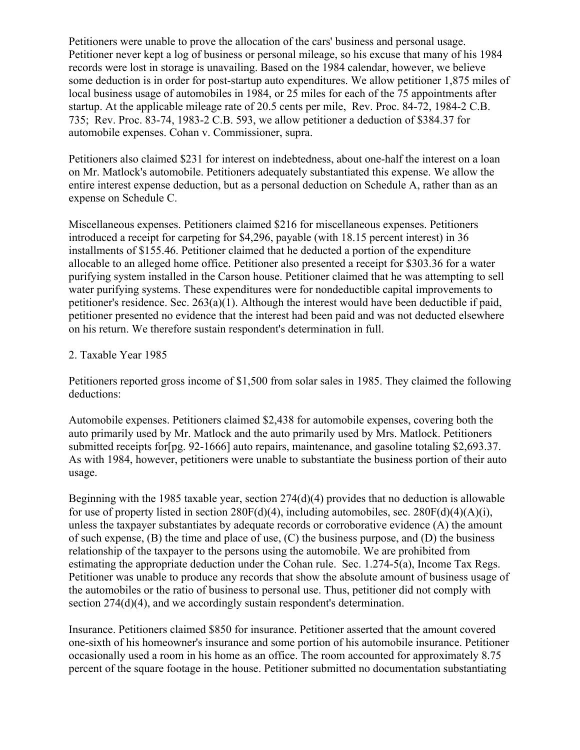Petitioners were unable to prove the allocation of the cars' business and personal usage. Petitioner never kept a log of business or personal mileage, so his excuse that many of his 1984 records were lost in storage is unavailing. Based on the 1984 calendar, however, we believe some deduction is in order for post-startup auto expenditures. We allow petitioner 1,875 miles of local business usage of automobiles in 1984, or 25 miles for each of the 75 appointments after startup. At the applicable mileage rate of 20.5 cents per mile, Rev. Proc. 84-72, 1984-2 C.B. 735; Rev. Proc. 83-74, 1983-2 C.B. 593, we allow petitioner a deduction of \$384.37 for automobile expenses. Cohan v. Commissioner, supra.

Petitioners also claimed \$231 for interest on indebtedness, about one-half the interest on a loan on Mr. Matlock's automobile. Petitioners adequately substantiated this expense. We allow the entire interest expense deduction, but as a personal deduction on Schedule A, rather than as an expense on Schedule C.

Miscellaneous expenses. Petitioners claimed \$216 for miscellaneous expenses. Petitioners introduced a receipt for carpeting for \$4,296, payable (with 18.15 percent interest) in 36 installments of \$155.46. Petitioner claimed that he deducted a portion of the expenditure allocable to an alleged home office. Petitioner also presented a receipt for \$303.36 for a water purifying system installed in the Carson house. Petitioner claimed that he was attempting to sell water purifying systems. These expenditures were for nondeductible capital improvements to petitioner's residence. Sec. 263(a)(1). Although the interest would have been deductible if paid, petitioner presented no evidence that the interest had been paid and was not deducted elsewhere on his return. We therefore sustain respondent's determination in full.

#### 2. Taxable Year 1985

Petitioners reported gross income of \$1,500 from solar sales in 1985. They claimed the following deductions:

Automobile expenses. Petitioners claimed \$2,438 for automobile expenses, covering both the auto primarily used by Mr. Matlock and the auto primarily used by Mrs. Matlock. Petitioners submitted receipts for[pg. 92-1666] auto repairs, maintenance, and gasoline totaling \$2,693.37. As with 1984, however, petitioners were unable to substantiate the business portion of their auto usage.

Beginning with the 1985 taxable year, section 274(d)(4) provides that no deduction is allowable for use of property listed in section  $280F(d)(4)$ , including automobiles, sec.  $280F(d)(4)(A)(i)$ , unless the taxpayer substantiates by adequate records or corroborative evidence (A) the amount of such expense, (B) the time and place of use, (C) the business purpose, and (D) the business relationship of the taxpayer to the persons using the automobile. We are prohibited from estimating the appropriate deduction under the Cohan rule. Sec. 1.274-5(a), Income Tax Regs. Petitioner was unable to produce any records that show the absolute amount of business usage of the automobiles or the ratio of business to personal use. Thus, petitioner did not comply with section 274(d)(4), and we accordingly sustain respondent's determination.

Insurance. Petitioners claimed \$850 for insurance. Petitioner asserted that the amount covered one-sixth of his homeowner's insurance and some portion of his automobile insurance. Petitioner occasionally used a room in his home as an office. The room accounted for approximately 8.75 percent of the square footage in the house. Petitioner submitted no documentation substantiating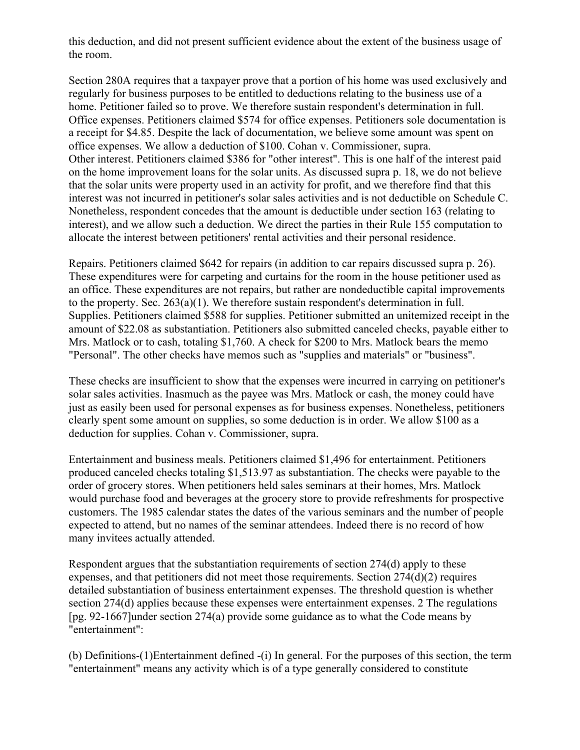this deduction, and did not present sufficient evidence about the extent of the business usage of the room.

Section 280A requires that a taxpayer prove that a portion of his home was used exclusively and regularly for business purposes to be entitled to deductions relating to the business use of a home. Petitioner failed so to prove. We therefore sustain respondent's determination in full. Office expenses. Petitioners claimed \$574 for office expenses. Petitioners sole documentation is a receipt for \$4.85. Despite the lack of documentation, we believe some amount was spent on office expenses. We allow a deduction of \$100. Cohan v. Commissioner, supra. Other interest. Petitioners claimed \$386 for "other interest". This is one half of the interest paid on the home improvement loans for the solar units. As discussed supra p. 18, we do not believe that the solar units were property used in an activity for profit, and we therefore find that this interest was not incurred in petitioner's solar sales activities and is not deductible on Schedule C. Nonetheless, respondent concedes that the amount is deductible under section 163 (relating to interest), and we allow such a deduction. We direct the parties in their Rule 155 computation to allocate the interest between petitioners' rental activities and their personal residence.

Repairs. Petitioners claimed \$642 for repairs (in addition to car repairs discussed supra p. 26). These expenditures were for carpeting and curtains for the room in the house petitioner used as an office. These expenditures are not repairs, but rather are nondeductible capital improvements to the property. Sec. 263(a)(1). We therefore sustain respondent's determination in full. Supplies. Petitioners claimed \$588 for supplies. Petitioner submitted an unitemized receipt in the amount of \$22.08 as substantiation. Petitioners also submitted canceled checks, payable either to Mrs. Matlock or to cash, totaling \$1,760. A check for \$200 to Mrs. Matlock bears the memo "Personal". The other checks have memos such as "supplies and materials" or "business".

These checks are insufficient to show that the expenses were incurred in carrying on petitioner's solar sales activities. Inasmuch as the payee was Mrs. Matlock or cash, the money could have just as easily been used for personal expenses as for business expenses. Nonetheless, petitioners clearly spent some amount on supplies, so some deduction is in order. We allow \$100 as a deduction for supplies. Cohan v. Commissioner, supra.

Entertainment and business meals. Petitioners claimed \$1,496 for entertainment. Petitioners produced canceled checks totaling \$1,513.97 as substantiation. The checks were payable to the order of grocery stores. When petitioners held sales seminars at their homes, Mrs. Matlock would purchase food and beverages at the grocery store to provide refreshments for prospective customers. The 1985 calendar states the dates of the various seminars and the number of people expected to attend, but no names of the seminar attendees. Indeed there is no record of how many invitees actually attended.

Respondent argues that the substantiation requirements of section 274(d) apply to these expenses, and that petitioners did not meet those requirements. Section 274(d)(2) requires detailed substantiation of business entertainment expenses. The threshold question is whether section 274(d) applies because these expenses were entertainment expenses. 2 The regulations [pg. 92-1667]under section 274(a) provide some guidance as to what the Code means by "entertainment":

(b) Definitions-(1)Entertainment defined -(i) In general. For the purposes of this section, the term "entertainment" means any activity which is of a type generally considered to constitute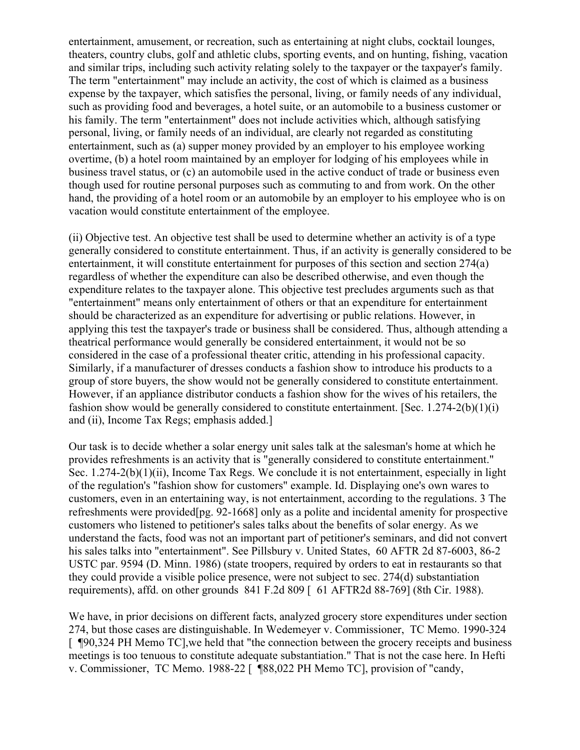entertainment, amusement, or recreation, such as entertaining at night clubs, cocktail lounges, theaters, country clubs, golf and athletic clubs, sporting events, and on hunting, fishing, vacation and similar trips, including such activity relating solely to the taxpayer or the taxpayer's family. The term "entertainment" may include an activity, the cost of which is claimed as a business expense by the taxpayer, which satisfies the personal, living, or family needs of any individual, such as providing food and beverages, a hotel suite, or an automobile to a business customer or his family. The term "entertainment" does not include activities which, although satisfying personal, living, or family needs of an individual, are clearly not regarded as constituting entertainment, such as (a) supper money provided by an employer to his employee working overtime, (b) a hotel room maintained by an employer for lodging of his employees while in business travel status, or (c) an automobile used in the active conduct of trade or business even though used for routine personal purposes such as commuting to and from work. On the other hand, the providing of a hotel room or an automobile by an employer to his employee who is on vacation would constitute entertainment of the employee.

(ii) Objective test. An objective test shall be used to determine whether an activity is of a type generally considered to constitute entertainment. Thus, if an activity is generally considered to be entertainment, it will constitute entertainment for purposes of this section and section 274(a) regardless of whether the expenditure can also be described otherwise, and even though the expenditure relates to the taxpayer alone. This objective test precludes arguments such as that "entertainment" means only entertainment of others or that an expenditure for entertainment should be characterized as an expenditure for advertising or public relations. However, in applying this test the taxpayer's trade or business shall be considered. Thus, although attending a theatrical performance would generally be considered entertainment, it would not be so considered in the case of a professional theater critic, attending in his professional capacity. Similarly, if a manufacturer of dresses conducts a fashion show to introduce his products to a group of store buyers, the show would not be generally considered to constitute entertainment. However, if an appliance distributor conducts a fashion show for the wives of his retailers, the fashion show would be generally considered to constitute entertainment. [Sec. 1.274-2(b)(1)(i) and (ii), Income Tax Regs; emphasis added.]

Our task is to decide whether a solar energy unit sales talk at the salesman's home at which he provides refreshments is an activity that is "generally considered to constitute entertainment." Sec. 1.274-2(b)(1)(ii), Income Tax Regs. We conclude it is not entertainment, especially in light of the regulation's "fashion show for customers" example. Id. Displaying one's own wares to customers, even in an entertaining way, is not entertainment, according to the regulations. 3 The refreshments were provided[pg. 92-1668] only as a polite and incidental amenity for prospective customers who listened to petitioner's sales talks about the benefits of solar energy. As we understand the facts, food was not an important part of petitioner's seminars, and did not convert his sales talks into "entertainment". See Pillsbury v. United States, 60 AFTR 2d 87-6003, 86-2 USTC par. 9594 (D. Minn. 1986) (state troopers, required by orders to eat in restaurants so that they could provide a visible police presence, were not subject to sec. 274(d) substantiation requirements), affd. on other grounds 841 F.2d 809 [ 61 AFTR2d 88-769] (8th Cir. 1988).

We have, in prior decisions on different facts, analyzed grocery store expenditures under section 274, but those cases are distinguishable. In Wedemeyer v. Commissioner, TC Memo. 1990-324 [ ¶90,324 PH Memo TC],we held that "the connection between the grocery receipts and business meetings is too tenuous to constitute adequate substantiation." That is not the case here. In Hefti v. Commissioner, TC Memo. 1988-22 [ ¶88,022 PH Memo TC], provision of "candy,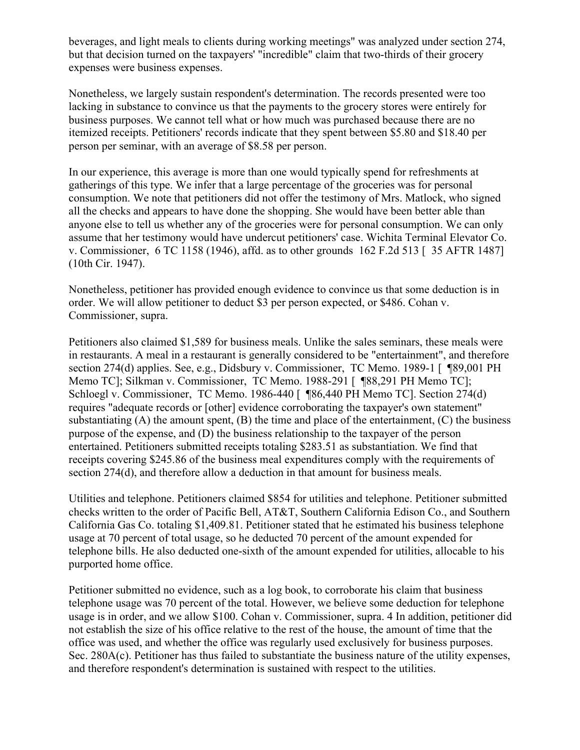beverages, and light meals to clients during working meetings" was analyzed under section 274, but that decision turned on the taxpayers' "incredible" claim that two-thirds of their grocery expenses were business expenses.

Nonetheless, we largely sustain respondent's determination. The records presented were too lacking in substance to convince us that the payments to the grocery stores were entirely for business purposes. We cannot tell what or how much was purchased because there are no itemized receipts. Petitioners' records indicate that they spent between \$5.80 and \$18.40 per person per seminar, with an average of \$8.58 per person.

In our experience, this average is more than one would typically spend for refreshments at gatherings of this type. We infer that a large percentage of the groceries was for personal consumption. We note that petitioners did not offer the testimony of Mrs. Matlock, who signed all the checks and appears to have done the shopping. She would have been better able than anyone else to tell us whether any of the groceries were for personal consumption. We can only assume that her testimony would have undercut petitioners' case. Wichita Terminal Elevator Co. v. Commissioner, 6 TC 1158 (1946), affd. as to other grounds 162 F.2d 513 [ 35 AFTR 1487] (10th Cir. 1947).

Nonetheless, petitioner has provided enough evidence to convince us that some deduction is in order. We will allow petitioner to deduct \$3 per person expected, or \$486. Cohan v. Commissioner, supra.

Petitioners also claimed \$1,589 for business meals. Unlike the sales seminars, these meals were in restaurants. A meal in a restaurant is generally considered to be "entertainment", and therefore section 274(d) applies. See, e.g., Didsbury v. Commissioner, TC Memo. 1989-1 [ ¶89,001 PH Memo TC]; Silkman v. Commissioner, TC Memo. 1988-291 [ ¶88,291 PH Memo TC]; Schloegl v. Commissioner, TC Memo. 1986-440 [ ¶86,440 PH Memo TC]. Section 274(d) requires "adequate records or [other] evidence corroborating the taxpayer's own statement" substantiating  $(A)$  the amount spent,  $(B)$  the time and place of the entertainment,  $(C)$  the business purpose of the expense, and (D) the business relationship to the taxpayer of the person entertained. Petitioners submitted receipts totaling \$283.51 as substantiation. We find that receipts covering \$245.86 of the business meal expenditures comply with the requirements of section 274(d), and therefore allow a deduction in that amount for business meals.

Utilities and telephone. Petitioners claimed \$854 for utilities and telephone. Petitioner submitted checks written to the order of Pacific Bell, AT&T, Southern California Edison Co., and Southern California Gas Co. totaling \$1,409.81. Petitioner stated that he estimated his business telephone usage at 70 percent of total usage, so he deducted 70 percent of the amount expended for telephone bills. He also deducted one-sixth of the amount expended for utilities, allocable to his purported home office.

Petitioner submitted no evidence, such as a log book, to corroborate his claim that business telephone usage was 70 percent of the total. However, we believe some deduction for telephone usage is in order, and we allow \$100. Cohan v. Commissioner, supra. 4 In addition, petitioner did not establish the size of his office relative to the rest of the house, the amount of time that the office was used, and whether the office was regularly used exclusively for business purposes. Sec. 280A(c). Petitioner has thus failed to substantiate the business nature of the utility expenses, and therefore respondent's determination is sustained with respect to the utilities.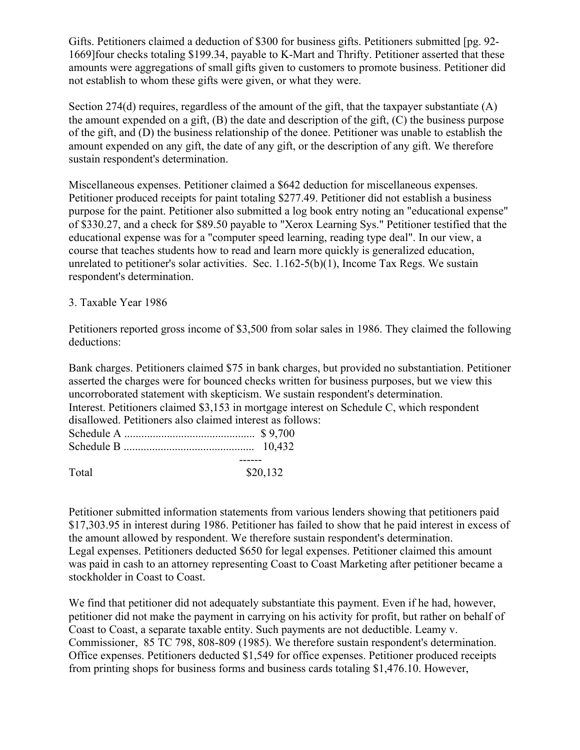Gifts. Petitioners claimed a deduction of \$300 for business gifts. Petitioners submitted [pg. 92- 1669]four checks totaling \$199.34, payable to K-Mart and Thrifty. Petitioner asserted that these amounts were aggregations of small gifts given to customers to promote business. Petitioner did not establish to whom these gifts were given, or what they were.

Section 274(d) requires, regardless of the amount of the gift, that the taxpayer substantiate (A) the amount expended on a gift, (B) the date and description of the gift, (C) the business purpose of the gift, and (D) the business relationship of the donee. Petitioner was unable to establish the amount expended on any gift, the date of any gift, or the description of any gift. We therefore sustain respondent's determination.

Miscellaneous expenses. Petitioner claimed a \$642 deduction for miscellaneous expenses. Petitioner produced receipts for paint totaling \$277.49. Petitioner did not establish a business purpose for the paint. Petitioner also submitted a log book entry noting an "educational expense" of \$330.27, and a check for \$89.50 payable to "Xerox Learning Sys." Petitioner testified that the educational expense was for a "computer speed learning, reading type deal". In our view, a course that teaches students how to read and learn more quickly is generalized education, unrelated to petitioner's solar activities. Sec. 1.162-5(b)(1), Income Tax Regs. We sustain respondent's determination.

#### 3. Taxable Year 1986

Petitioners reported gross income of \$3,500 from solar sales in 1986. They claimed the following deductions:

Bank charges. Petitioners claimed \$75 in bank charges, but provided no substantiation. Petitioner asserted the charges were for bounced checks written for business purposes, but we view this uncorroborated statement with skepticism. We sustain respondent's determination. Interest. Petitioners claimed \$3,153 in mortgage interest on Schedule C, which respondent disallowed. Petitioners also claimed interest as follows: Schedule A .............................................. \$ 9,700 Schedule B .............................................. 10,432 ------

Total \$20,132

Petitioner submitted information statements from various lenders showing that petitioners paid \$17,303.95 in interest during 1986. Petitioner has failed to show that he paid interest in excess of the amount allowed by respondent. We therefore sustain respondent's determination. Legal expenses. Petitioners deducted \$650 for legal expenses. Petitioner claimed this amount was paid in cash to an attorney representing Coast to Coast Marketing after petitioner became a stockholder in Coast to Coast.

We find that petitioner did not adequately substantiate this payment. Even if he had, however, petitioner did not make the payment in carrying on his activity for profit, but rather on behalf of Coast to Coast, a separate taxable entity. Such payments are not deductible. Leamy v. Commissioner, 85 TC 798, 808-809 (1985). We therefore sustain respondent's determination. Office expenses. Petitioners deducted \$1,549 for office expenses. Petitioner produced receipts from printing shops for business forms and business cards totaling \$1,476.10. However,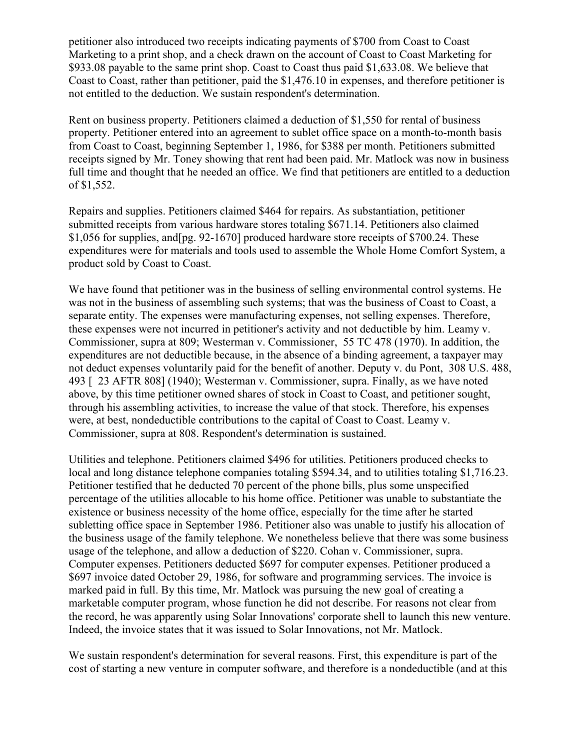petitioner also introduced two receipts indicating payments of \$700 from Coast to Coast Marketing to a print shop, and a check drawn on the account of Coast to Coast Marketing for \$933.08 payable to the same print shop. Coast to Coast thus paid \$1,633.08. We believe that Coast to Coast, rather than petitioner, paid the \$1,476.10 in expenses, and therefore petitioner is not entitled to the deduction. We sustain respondent's determination.

Rent on business property. Petitioners claimed a deduction of \$1,550 for rental of business property. Petitioner entered into an agreement to sublet office space on a month-to-month basis from Coast to Coast, beginning September 1, 1986, for \$388 per month. Petitioners submitted receipts signed by Mr. Toney showing that rent had been paid. Mr. Matlock was now in business full time and thought that he needed an office. We find that petitioners are entitled to a deduction of \$1,552.

Repairs and supplies. Petitioners claimed \$464 for repairs. As substantiation, petitioner submitted receipts from various hardware stores totaling \$671.14. Petitioners also claimed \$1,056 for supplies, and[pg. 92-1670] produced hardware store receipts of \$700.24. These expenditures were for materials and tools used to assemble the Whole Home Comfort System, a product sold by Coast to Coast.

We have found that petitioner was in the business of selling environmental control systems. He was not in the business of assembling such systems; that was the business of Coast to Coast, a separate entity. The expenses were manufacturing expenses, not selling expenses. Therefore, these expenses were not incurred in petitioner's activity and not deductible by him. Leamy v. Commissioner, supra at 809; Westerman v. Commissioner, 55 TC 478 (1970). In addition, the expenditures are not deductible because, in the absence of a binding agreement, a taxpayer may not deduct expenses voluntarily paid for the benefit of another. Deputy v. du Pont, 308 U.S. 488, 493 [ 23 AFTR 808] (1940); Westerman v. Commissioner, supra. Finally, as we have noted above, by this time petitioner owned shares of stock in Coast to Coast, and petitioner sought, through his assembling activities, to increase the value of that stock. Therefore, his expenses were, at best, nondeductible contributions to the capital of Coast to Coast. Leamy v. Commissioner, supra at 808. Respondent's determination is sustained.

Utilities and telephone. Petitioners claimed \$496 for utilities. Petitioners produced checks to local and long distance telephone companies totaling \$594.34, and to utilities totaling \$1,716.23. Petitioner testified that he deducted 70 percent of the phone bills, plus some unspecified percentage of the utilities allocable to his home office. Petitioner was unable to substantiate the existence or business necessity of the home office, especially for the time after he started subletting office space in September 1986. Petitioner also was unable to justify his allocation of the business usage of the family telephone. We nonetheless believe that there was some business usage of the telephone, and allow a deduction of \$220. Cohan v. Commissioner, supra. Computer expenses. Petitioners deducted \$697 for computer expenses. Petitioner produced a \$697 invoice dated October 29, 1986, for software and programming services. The invoice is marked paid in full. By this time, Mr. Matlock was pursuing the new goal of creating a marketable computer program, whose function he did not describe. For reasons not clear from the record, he was apparently using Solar Innovations' corporate shell to launch this new venture. Indeed, the invoice states that it was issued to Solar Innovations, not Mr. Matlock.

We sustain respondent's determination for several reasons. First, this expenditure is part of the cost of starting a new venture in computer software, and therefore is a nondeductible (and at this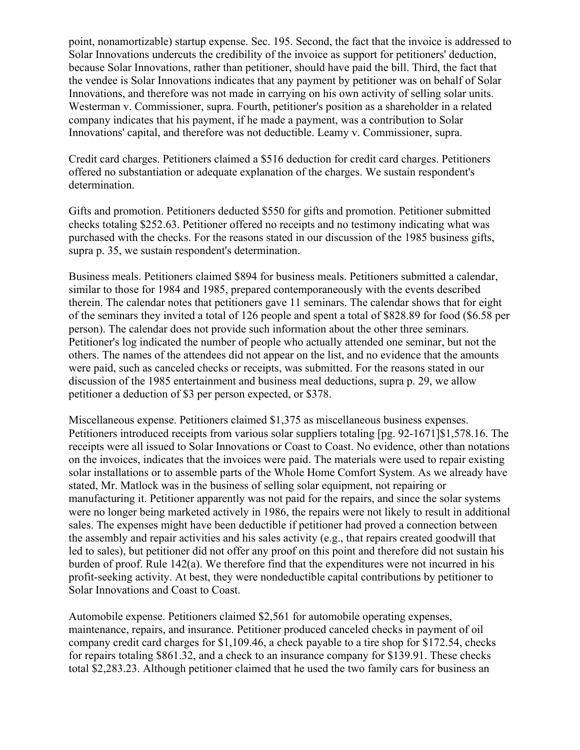point, nonamortizable) startup expense. Sec. 195. Second, the fact that the invoice is addressed to Solar Innovations undercuts the credibility of the invoice as support for petitioners' deduction, because Solar Innovations, rather than petitioner, should have paid the bill. Third, the fact that the vendee is Solar Innovations indicates that any payment by petitioner was on behalf of Solar Innovations, and therefore was not made in carrying on his own activity of selling solar units. Westerman v. Commissioner, supra. Fourth, petitioner's position as a shareholder in a related company indicates that his payment, if he made a payment, was a contribution to Solar Innovations' capital, and therefore was not deductible. Leamy v. Commissioner, supra.

Credit card charges. Petitioners claimed a \$516 deduction for credit card charges. Petitioners offered no substantiation or adequate explanation of the charges. We sustain respondent's determination.

Gifts and promotion. Petitioners deducted \$550 for gifts and promotion. Petitioner submitted checks totaling \$252.63. Petitioner offered no receipts and no testimony indicating what was purchased with the checks. For the reasons stated in our discussion of the 1985 business gifts, supra p. 35, we sustain respondent's determination.

Business meals. Petitioners claimed \$894 for business meals. Petitioners submitted a calendar, similar to those for 1984 and 1985, prepared contemporaneously with the events described therein. The calendar notes that petitioners gave 11 seminars. The calendar shows that for eight of the seminars they invited a total of 126 people and spent a total of \$828.89 for food (\$6.58 per person). The calendar does not provide such information about the other three seminars. Petitioner's log indicated the number of people who actually attended one seminar, but not the others. The names of the attendees did not appear on the list, and no evidence that the amounts were paid, such as canceled checks or receipts, was submitted. For the reasons stated in our discussion of the 1985 entertainment and business meal deductions, supra p. 29, we allow petitioner a deduction of \$3 per person expected, or \$378.

Miscellaneous expense. Petitioners claimed \$1,375 as miscellaneous business expenses. Petitioners introduced receipts from various solar suppliers totaling [pg. 92-1671]\$1,578.16. The receipts were all issued to Solar Innovations or Coast to Coast. No evidence, other than notations on the invoices, indicates that the invoices were paid. The materials were used to repair existing solar installations or to assemble parts of the Whole Home Comfort System. As we already have stated, Mr. Matlock was in the business of selling solar equipment, not repairing or manufacturing it. Petitioner apparently was not paid for the repairs, and since the solar systems were no longer being marketed actively in 1986, the repairs were not likely to result in additional sales. The expenses might have been deductible if petitioner had proved a connection between the assembly and repair activities and his sales activity (e.g., that repairs created goodwill that led to sales), but petitioner did not offer any proof on this point and therefore did not sustain his burden of proof. Rule 142(a). We therefore find that the expenditures were not incurred in his profit-seeking activity. At best, they were nondeductible capital contributions by petitioner to Solar Innovations and Coast to Coast.

Automobile expense. Petitioners claimed \$2,561 for automobile operating expenses, maintenance, repairs, and insurance. Petitioner produced canceled checks in payment of oil company credit card charges for \$1,109.46, a check payable to a tire shop for \$172.54, checks for repairs totaling \$861.32, and a check to an insurance company for \$139.91. These checks total \$2,283.23. Although petitioner claimed that he used the two family cars for business an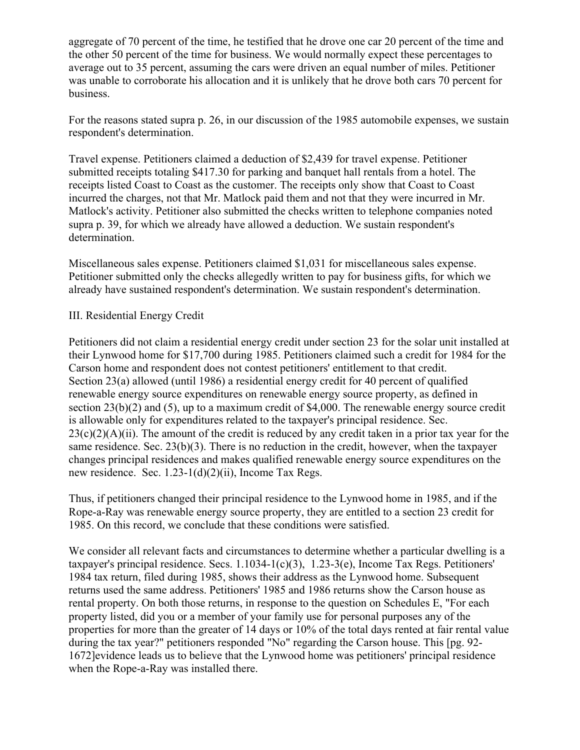aggregate of 70 percent of the time, he testified that he drove one car 20 percent of the time and the other 50 percent of the time for business. We would normally expect these percentages to average out to 35 percent, assuming the cars were driven an equal number of miles. Petitioner was unable to corroborate his allocation and it is unlikely that he drove both cars 70 percent for business.

For the reasons stated supra p. 26, in our discussion of the 1985 automobile expenses, we sustain respondent's determination.

Travel expense. Petitioners claimed a deduction of \$2,439 for travel expense. Petitioner submitted receipts totaling \$417.30 for parking and banquet hall rentals from a hotel. The receipts listed Coast to Coast as the customer. The receipts only show that Coast to Coast incurred the charges, not that Mr. Matlock paid them and not that they were incurred in Mr. Matlock's activity. Petitioner also submitted the checks written to telephone companies noted supra p. 39, for which we already have allowed a deduction. We sustain respondent's determination.

Miscellaneous sales expense. Petitioners claimed \$1,031 for miscellaneous sales expense. Petitioner submitted only the checks allegedly written to pay for business gifts, for which we already have sustained respondent's determination. We sustain respondent's determination.

#### III. Residential Energy Credit

Petitioners did not claim a residential energy credit under section 23 for the solar unit installed at their Lynwood home for \$17,700 during 1985. Petitioners claimed such a credit for 1984 for the Carson home and respondent does not contest petitioners' entitlement to that credit. Section 23(a) allowed (until 1986) a residential energy credit for 40 percent of qualified renewable energy source expenditures on renewable energy source property, as defined in section  $23(b)(2)$  and (5), up to a maximum credit of \$4,000. The renewable energy source credit is allowable only for expenditures related to the taxpayer's principal residence. Sec.  $23(c)(2)(A)(ii)$ . The amount of the credit is reduced by any credit taken in a prior tax year for the same residence. Sec.  $23(b)(3)$ . There is no reduction in the credit, however, when the taxpayer changes principal residences and makes qualified renewable energy source expenditures on the new residence. Sec. 1.23-1(d)(2)(ii), Income Tax Regs.

Thus, if petitioners changed their principal residence to the Lynwood home in 1985, and if the Rope-a-Ray was renewable energy source property, they are entitled to a section 23 credit for 1985. On this record, we conclude that these conditions were satisfied.

We consider all relevant facts and circumstances to determine whether a particular dwelling is a taxpayer's principal residence. Secs. 1.1034-1(c)(3), 1.23-3(e), Income Tax Regs. Petitioners' 1984 tax return, filed during 1985, shows their address as the Lynwood home. Subsequent returns used the same address. Petitioners' 1985 and 1986 returns show the Carson house as rental property. On both those returns, in response to the question on Schedules E, "For each property listed, did you or a member of your family use for personal purposes any of the properties for more than the greater of 14 days or 10% of the total days rented at fair rental value during the tax year?" petitioners responded "No" regarding the Carson house. This [pg. 92- 1672]evidence leads us to believe that the Lynwood home was petitioners' principal residence when the Rope-a-Ray was installed there.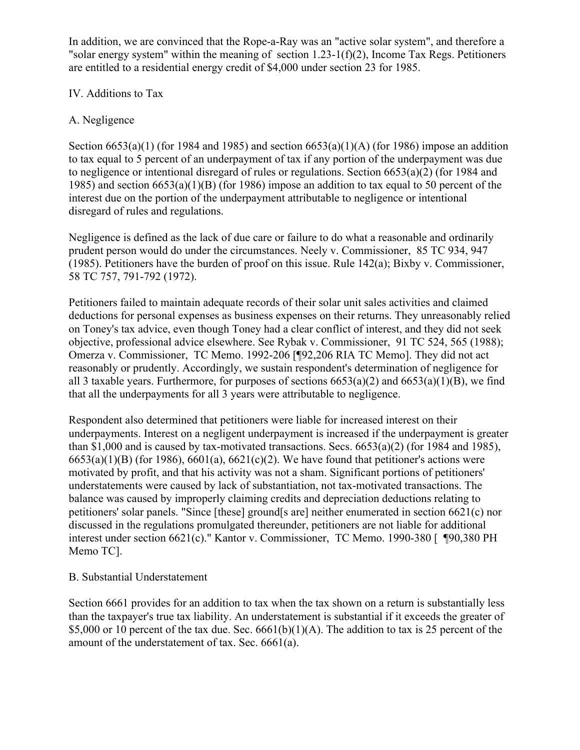In addition, we are convinced that the Rope-a-Ray was an "active solar system", and therefore a "solar energy system" within the meaning of section  $1.23-1(f)(2)$ , Income Tax Regs. Petitioners are entitled to a residential energy credit of \$4,000 under section 23 for 1985.

# IV. Additions to Tax

# A. Negligence

Section  $6653(a)(1)$  (for 1984 and 1985) and section  $6653(a)(1)(A)$  (for 1986) impose an addition to tax equal to 5 percent of an underpayment of tax if any portion of the underpayment was due to negligence or intentional disregard of rules or regulations. Section 6653(a)(2) (for 1984 and 1985) and section 6653(a)(1)(B) (for 1986) impose an addition to tax equal to 50 percent of the interest due on the portion of the underpayment attributable to negligence or intentional disregard of rules and regulations.

Negligence is defined as the lack of due care or failure to do what a reasonable and ordinarily prudent person would do under the circumstances. Neely v. Commissioner, 85 TC 934, 947 (1985). Petitioners have the burden of proof on this issue. Rule 142(a); Bixby v. Commissioner, 58 TC 757, 791-792 (1972).

Petitioners failed to maintain adequate records of their solar unit sales activities and claimed deductions for personal expenses as business expenses on their returns. They unreasonably relied on Toney's tax advice, even though Toney had a clear conflict of interest, and they did not seek objective, professional advice elsewhere. See Rybak v. Commissioner, 91 TC 524, 565 (1988); Omerza v. Commissioner, TC Memo. 1992-206 [¶92,206 RIA TC Memo]. They did not act reasonably or prudently. Accordingly, we sustain respondent's determination of negligence for all 3 taxable years. Furthermore, for purposes of sections  $6653(a)(2)$  and  $6653(a)(1)(B)$ , we find that all the underpayments for all 3 years were attributable to negligence.

Respondent also determined that petitioners were liable for increased interest on their underpayments. Interest on a negligent underpayment is increased if the underpayment is greater than \$1,000 and is caused by tax-motivated transactions. Secs. 6653(a)(2) (for 1984 and 1985),  $6653(a)(1)(B)$  (for 1986),  $6601(a)$ ,  $6621(c)(2)$ . We have found that petitioner's actions were motivated by profit, and that his activity was not a sham. Significant portions of petitioners' understatements were caused by lack of substantiation, not tax-motivated transactions. The balance was caused by improperly claiming credits and depreciation deductions relating to petitioners' solar panels. "Since [these] ground[s are] neither enumerated in section 6621(c) nor discussed in the regulations promulgated thereunder, petitioners are not liable for additional interest under section 6621(c)." Kantor v. Commissioner, TC Memo. 1990-380 [ ¶90,380 PH Memo TC].

# B. Substantial Understatement

Section 6661 provides for an addition to tax when the tax shown on a return is substantially less than the taxpayer's true tax liability. An understatement is substantial if it exceeds the greater of \$5,000 or 10 percent of the tax due. Sec.  $6661(b)(1)(A)$ . The addition to tax is 25 percent of the amount of the understatement of tax. Sec. 6661(a).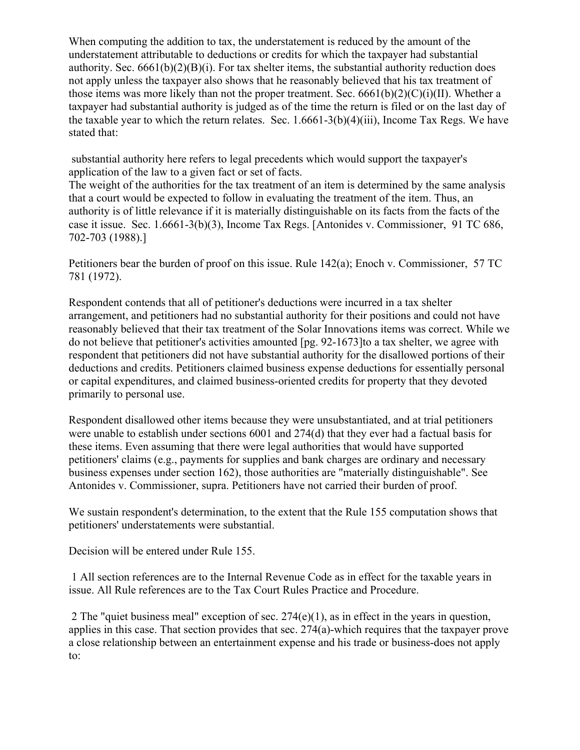When computing the addition to tax, the understatement is reduced by the amount of the understatement attributable to deductions or credits for which the taxpayer had substantial authority. Sec.  $6661(b)(2)(B)(i)$ . For tax shelter items, the substantial authority reduction does not apply unless the taxpayer also shows that he reasonably believed that his tax treatment of those items was more likely than not the proper treatment. Sec.  $6661(b)(2)(C)(i)(II)$ . Whether a taxpayer had substantial authority is judged as of the time the return is filed or on the last day of the taxable year to which the return relates. Sec. 1.6661-3(b)(4)(iii), Income Tax Regs. We have stated that:

substantial authority here refers to legal precedents which would support the taxpayer's application of the law to a given fact or set of facts.

The weight of the authorities for the tax treatment of an item is determined by the same analysis that a court would be expected to follow in evaluating the treatment of the item. Thus, an authority is of little relevance if it is materially distinguishable on its facts from the facts of the case it issue. Sec. 1.6661-3(b)(3), Income Tax Regs. [Antonides v. Commissioner, 91 TC 686, 702-703 (1988).]

Petitioners bear the burden of proof on this issue. Rule 142(a); Enoch v. Commissioner, 57 TC 781 (1972).

Respondent contends that all of petitioner's deductions were incurred in a tax shelter arrangement, and petitioners had no substantial authority for their positions and could not have reasonably believed that their tax treatment of the Solar Innovations items was correct. While we do not believe that petitioner's activities amounted [pg. 92-1673]to a tax shelter, we agree with respondent that petitioners did not have substantial authority for the disallowed portions of their deductions and credits. Petitioners claimed business expense deductions for essentially personal or capital expenditures, and claimed business-oriented credits for property that they devoted primarily to personal use.

Respondent disallowed other items because they were unsubstantiated, and at trial petitioners were unable to establish under sections 6001 and 274(d) that they ever had a factual basis for these items. Even assuming that there were legal authorities that would have supported petitioners' claims (e.g., payments for supplies and bank charges are ordinary and necessary business expenses under section 162), those authorities are "materially distinguishable". See Antonides v. Commissioner, supra. Petitioners have not carried their burden of proof.

We sustain respondent's determination, to the extent that the Rule 155 computation shows that petitioners' understatements were substantial.

Decision will be entered under Rule 155.

1 All section references are to the Internal Revenue Code as in effect for the taxable years in issue. All Rule references are to the Tax Court Rules Practice and Procedure.

2 The "quiet business meal" exception of sec. 274(e)(1), as in effect in the years in question, applies in this case. That section provides that sec. 274(a)-which requires that the taxpayer prove a close relationship between an entertainment expense and his trade or business-does not apply to: